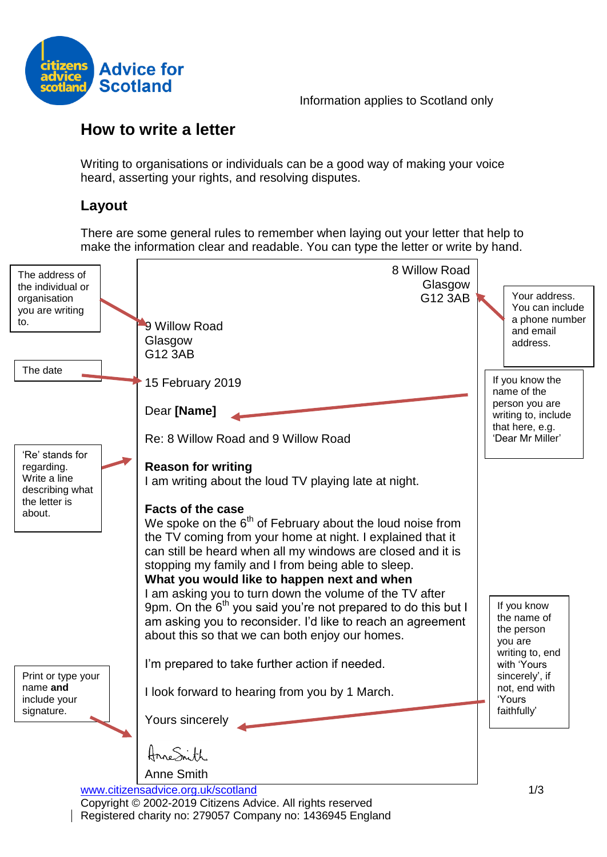

Information applies to Scotland only

# **How to write a letter**

Writing to organisations or individuals can be a good way of making your voice heard, asserting your rights, and resolving disputes.

# **Layout**

There are some general rules to remember when laying out your letter that help to make the information clear and readable. You can type the letter or write by hand.

| The address of                   | 8 Willow Road                                                                                                                            |                                       |
|----------------------------------|------------------------------------------------------------------------------------------------------------------------------------------|---------------------------------------|
| the individual or                | Glasgow                                                                                                                                  | Your address.                         |
| organisation<br>you are writing  | G12 3AB                                                                                                                                  | You can include                       |
| to.                              | 9 Willow Road                                                                                                                            | a phone number<br>and email           |
|                                  | Glasgow                                                                                                                                  | address.                              |
|                                  | G12 3AB                                                                                                                                  |                                       |
| The date                         | 15 February 2019                                                                                                                         | If you know the                       |
|                                  |                                                                                                                                          | name of the                           |
|                                  | Dear [Name]                                                                                                                              | person you are<br>writing to, include |
|                                  |                                                                                                                                          | that here, e.g.                       |
|                                  | Re: 8 Willow Road and 9 Willow Road                                                                                                      | 'Dear Mr Miller'                      |
| 'Re' stands for<br>regarding.    | <b>Reason for writing</b>                                                                                                                |                                       |
| Write a line                     | I am writing about the loud TV playing late at night.                                                                                    |                                       |
| describing what<br>the letter is |                                                                                                                                          |                                       |
| about.                           | <b>Facts of the case</b>                                                                                                                 |                                       |
|                                  | We spoke on the $6th$ of February about the loud noise from<br>the TV coming from your home at night. I explained that it                |                                       |
|                                  | can still be heard when all my windows are closed and it is                                                                              |                                       |
|                                  | stopping my family and I from being able to sleep.                                                                                       |                                       |
|                                  | What you would like to happen next and when                                                                                              |                                       |
|                                  | I am asking you to turn down the volume of the TV after                                                                                  | If you know                           |
|                                  | 9pm. On the 6 <sup>th</sup> you said you're not prepared to do this but I<br>am asking you to reconsider. I'd like to reach an agreement | the name of                           |
|                                  | about this so that we can both enjoy our homes.                                                                                          | the person                            |
|                                  |                                                                                                                                          | you are<br>writing to, end            |
|                                  | I'm prepared to take further action if needed.                                                                                           | with 'Yours                           |
| Print or type your<br>name and   |                                                                                                                                          | sincerely', if<br>not, end with       |
| include your                     | I look forward to hearing from you by 1 March.                                                                                           | 'Yours                                |
| signature.                       | Yours sincerely                                                                                                                          | faithfully'                           |
|                                  |                                                                                                                                          |                                       |
|                                  | AnneSnith                                                                                                                                |                                       |
|                                  | <b>Anne Smith</b>                                                                                                                        |                                       |
|                                  | www.citizensadvice.org.uk/scotland                                                                                                       | 1/3                                   |
|                                  | Copyright © 2002-2019 Citizens Advice. All rights reserved                                                                               |                                       |
|                                  | Registered charity no: 279057 Company no: 1436945 England                                                                                |                                       |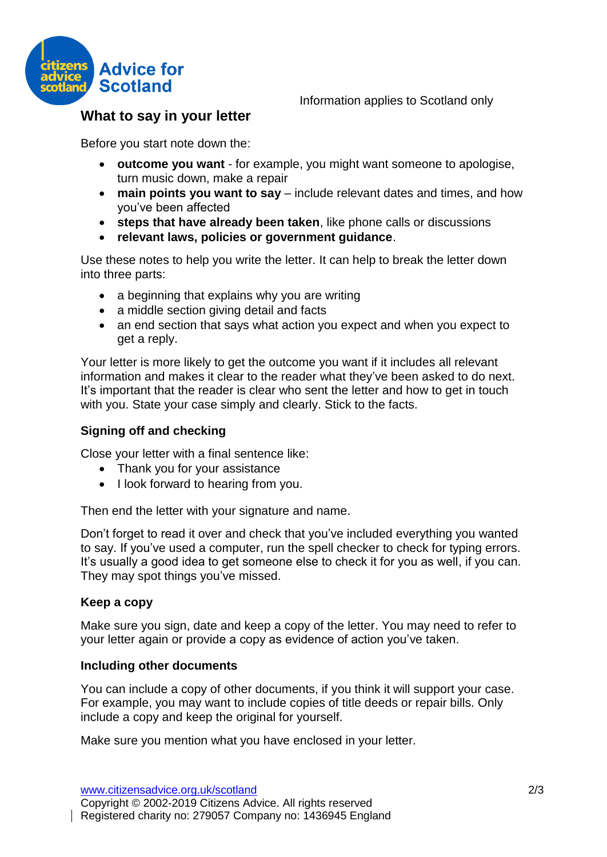

## **What to say in your letter**

Before you start note down the:

- **outcome you want** for example, you might want someone to apologise, turn music down, make a repair
- **main points you want to say** include relevant dates and times, and how you've been affected
- **steps that have already been taken**, like phone calls or discussions
- **relevant laws, policies or government guidance**.

Use these notes to help you write the letter. It can help to break the letter down into three parts:

- a beginning that explains why you are writing
- a middle section giving detail and facts
- an end section that says what action you expect and when you expect to get a reply.

Your letter is more likely to get the outcome you want if it includes all relevant information and makes it clear to the reader what they've been asked to do next. It's important that the reader is clear who sent the letter and how to get in touch with you. State your case simply and clearly. Stick to the facts.

#### **Signing off and checking**

Close your letter with a final sentence like:

- Thank you for your assistance
- I look forward to hearing from you.

Then end the letter with your signature and name.

Don't forget to read it over and check that you've included everything you wanted to say. If you've used a computer, run the spell checker to check for typing errors. It's usually a good idea to get someone else to check it for you as well, if you can. They may spot things you've missed.

#### **Keep a copy**

Make sure you sign, date and keep a copy of the letter. You may need to refer to your letter again or provide a copy as evidence of action you've taken.

#### **Including other documents**

You can include a copy of other documents, if you think it will support your case. For example, you may want to include copies of title deeds or repair bills. Only include a copy and keep the original for yourself.

Make sure you mention what you have enclosed in your letter.